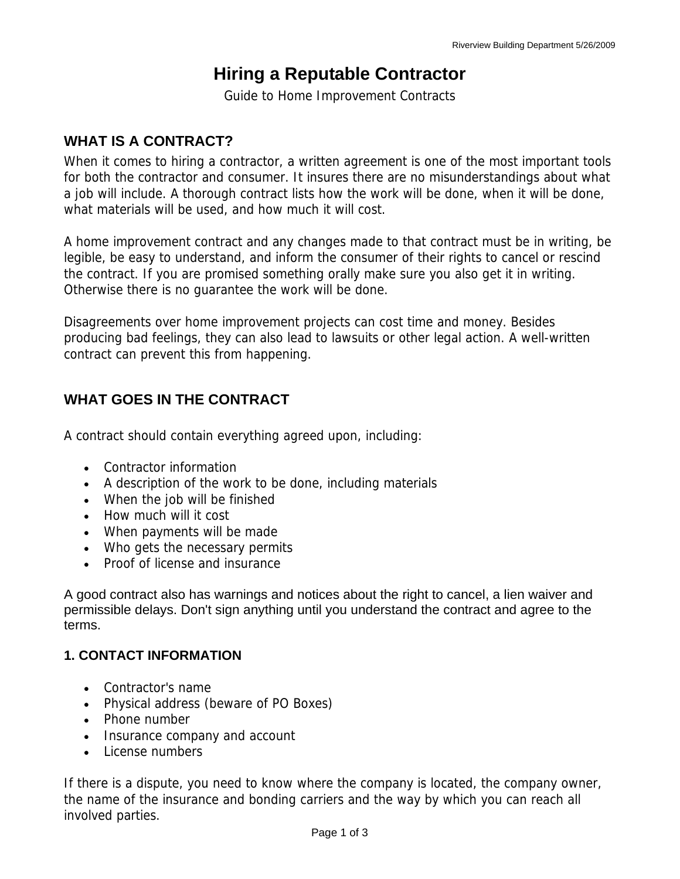# **Hiring a Reputable Contractor**

Guide to Home Improvement Contracts

# **WHAT IS A CONTRACT?**

When it comes to hiring a contractor, a written agreement is one of the most important tools for both the contractor and consumer. It insures there are no misunderstandings about what a job will include. A thorough contract lists how the work will be done, when it will be done, what materials will be used, and how much it will cost.

A home improvement contract and any changes made to that contract must be in writing, be legible, be easy to understand, and inform the consumer of their rights to cancel or rescind the contract. If you are promised something orally make sure you also get it in writing. Otherwise there is no guarantee the work will be done.

Disagreements over home improvement projects can cost time and money. Besides producing bad feelings, they can also lead to lawsuits or other legal action. A well-written contract can prevent this from happening.

## **WHAT GOES IN THE CONTRACT**

A contract should contain everything agreed upon, including:

- Contractor information
- A description of the work to be done, including materials
- When the job will be finished
- How much will it cost
- When payments will be made
- Who gets the necessary permits
- Proof of license and insurance

A good contract also has warnings and notices about the right to cancel, a lien waiver and permissible delays. Don't sign anything until you understand the contract and agree to the terms.

#### **1. CONTACT INFORMATION**

- Contractor's name
- Physical address (beware of PO Boxes)
- Phone number
- Insurance company and account
- License numbers

If there is a dispute, you need to know where the company is located, the company owner, the name of the insurance and bonding carriers and the way by which you can reach all involved parties.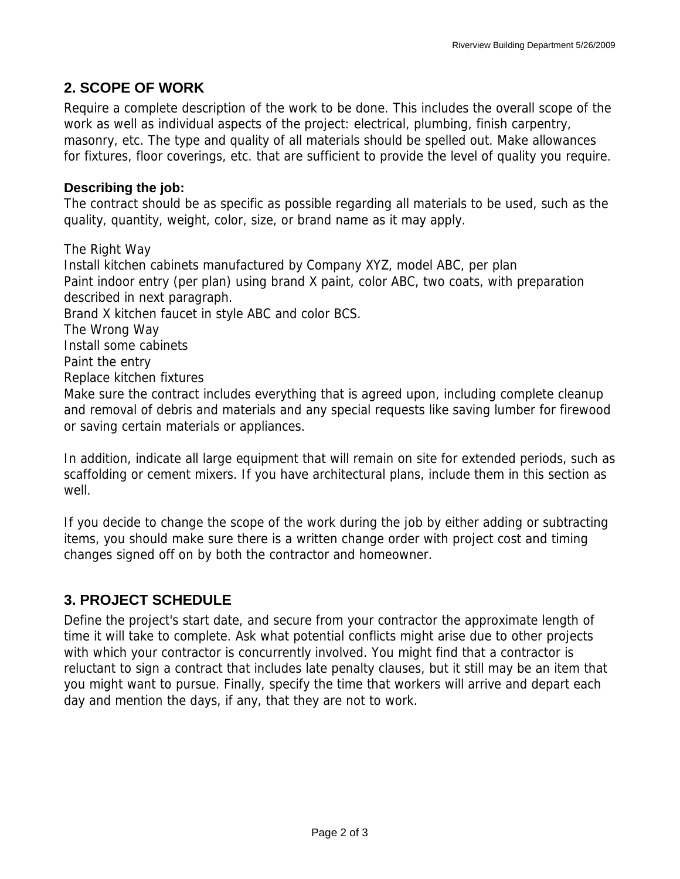### **2. SCOPE OF WORK**

Require a complete description of the work to be done. This includes the overall scope of the work as well as individual aspects of the project: electrical, plumbing, finish carpentry, masonry, etc. The type and quality of all materials should be spelled out. Make allowances for fixtures, floor coverings, etc. that are sufficient to provide the level of quality you require.

#### **Describing the job:**

The contract should be as specific as possible regarding all materials to be used, such as the quality, quantity, weight, color, size, or brand name as it may apply.

The Right Way Install kitchen cabinets manufactured by Company XYZ, model ABC, per plan Paint indoor entry (per plan) using brand X paint, color ABC, two coats, with preparation described in next paragraph. Brand X kitchen faucet in style ABC and color BCS. The Wrong Way Install some cabinets Paint the entry Replace kitchen fixtures Make sure the contract includes everything that is agreed upon, including complete cleanup and removal of debris and materials and any special requests like saving lumber for firewood or saving certain materials or appliances.

In addition, indicate all large equipment that will remain on site for extended periods, such as scaffolding or cement mixers. If you have architectural plans, include them in this section as well.

If you decide to change the scope of the work during the job by either adding or subtracting items, you should make sure there is a written change order with project cost and timing changes signed off on by both the contractor and homeowner.

## **3. PROJECT SCHEDULE**

Define the project's start date, and secure from your contractor the approximate length of time it will take to complete. Ask what potential conflicts might arise due to other projects with which your contractor is concurrently involved. You might find that a contractor is reluctant to sign a contract that includes late penalty clauses, but it still may be an item that you might want to pursue. Finally, specify the time that workers will arrive and depart each day and mention the days, if any, that they are not to work.